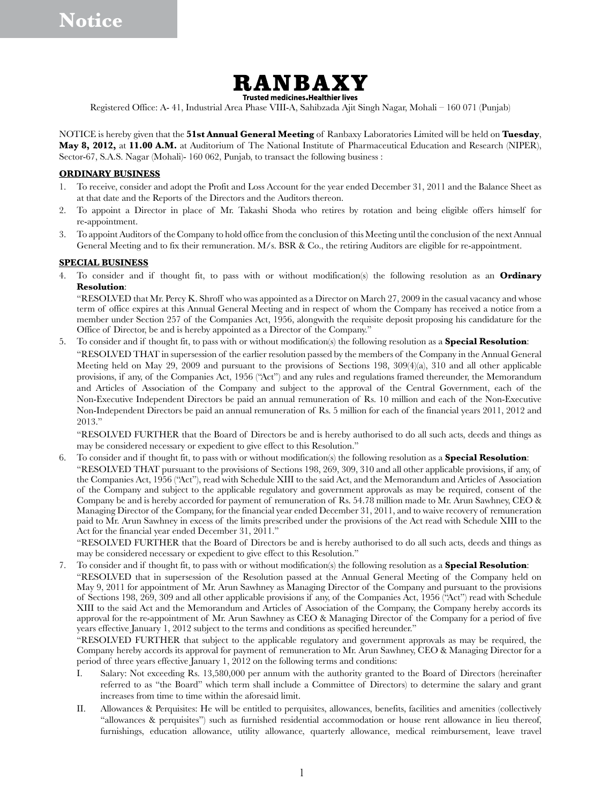

Registered Office: A- 41, Industrial Area Phase VIII-A, Sahibzada Ajit Singh Nagar, Mohali – 160 071 (Punjab)

NOTICE is hereby given that the **51st Annual General Meeting** of Ranbaxy Laboratories Limited will be held on **Tuesday**, **May 8, 2012,** at **11.00 A.M.** at Auditorium of The National Institute of Pharmaceutical Education and Research (NIPER), Sector-67, S.A.S. Nagar (Mohali)- 160 062, Punjab, to transact the following business :

#### **ORDINARY BUSINESS**

- 1. To receive, consider and adopt the Profit and Loss Account for the year ended December 31, 2011 and the Balance Sheet as at that date and the Reports of the Directors and the Auditors thereon.
- 2. To appoint a Director in place of Mr. Takashi Shoda who retires by rotation and being eligible offers himself for re-appointment.
- 3. To appoint Auditors of the Company to hold office from the conclusion of this Meeting until the conclusion of the next Annual General Meeting and to fix their remuneration. M/s. BSR & Co., the retiring Auditors are eligible for re-appointment.

#### **SPECIAL BUSINESS**

4. To consider and if thought fit, to pass with or without modification(s) the following resolution as an **Ordinary Resolution**:

"RESOLVED that Mr. Percy K. Shroff who was appointed as a Director on March 27, 2009 in the casual vacancy and whose term of office expires at this Annual General Meeting and in respect of whom the Company has received a notice from a member under Section 257 of the Companies Act, 1956, alongwith the requisite deposit proposing his candidature for the Office of Director, be and is hereby appointed as a Director of the Company."

5. To consider and if thought fit, to pass with or without modification(s) the following resolution as a **Special Resolution**: "RESOLVED THAT in supersession of the earlier resolution passed by the members of the Company in the Annual General Meeting held on May 29, 2009 and pursuant to the provisions of Sections 198, 309(4)(a), 310 and all other applicable provisions, if any, of the Companies Act, 1956 ("Act") and any rules and regulations framed thereunder, the Memorandum and Articles of Association of the Company and subject to the approval of the Central Government, each of the Non-Executive Independent Directors be paid an annual remuneration of Rs. 10 million and each of the Non-Executive Non-Independent Directors be paid an annual remuneration of Rs. 5 million for each of the financial years 2011, 2012 and 2013."

"RESOLVED FURTHER that the Board of Directors be and is hereby authorised to do all such acts, deeds and things as may be considered necessary or expedient to give effect to this Resolution."

6. To consider and if thought fit, to pass with or without modification(s) the following resolution as a **Special Resolution**: "RESOLVED THAT pursuant to the provisions of Sections 198, 269, 309, 310 and all other applicable provisions, if any, of the Companies Act, 1956 ("Act"), read with Schedule XIII to the said Act, and the Memorandum and Articles of Association of the Company and subject to the applicable regulatory and government approvals as may be required, consent of the Company be and is hereby accorded for payment of remuneration of Rs. 54.78 million made to Mr. Arun Sawhney, CEO & Managing Director of the Company, for the financial year ended December 31, 2011, and to waive recovery of remuneration paid to Mr. Arun Sawhney in excess of the limits prescribed under the provisions of the Act read with Schedule XIII to the Act for the financial year ended December 31, 2011."

"RESOLVED FURTHER that the Board of Directors be and is hereby authorised to do all such acts, deeds and things as may be considered necessary or expedient to give effect to this Resolution."

7. To consider and if thought fit, to pass with or without modification(s) the following resolution as a **Special Resolution**: "RESOLVED that in supersession of the Resolution passed at the Annual General Meeting of the Company held on May 9, 2011 for appointment of Mr. Arun Sawhney as Managing Director of the Company and pursuant to the provisions of Sections 198, 269, 309 and all other applicable provisions if any, of the Companies Act, 1956 ("Act") read with Schedule XIII to the said Act and the Memorandum and Articles of Association of the Company, the Company hereby accords its approval for the re-appointment of Mr. Arun Sawhney as CEO & Managing Director of the Company for a period of five years effective January 1, 2012 subject to the terms and conditions as specified hereunder."

"RESOLVED FURTHER that subject to the applicable regulatory and government approvals as may be required, the Company hereby accords its approval for payment of remuneration to Mr. Arun Sawhney, CEO & Managing Director for a period of three years effective January 1, 2012 on the following terms and conditions:

- I. Salary: Not exceeding Rs. 13,580,000 per annum with the authority granted to the Board of Directors (hereinafter referred to as "the Board" which term shall include a Committee of Directors) to determine the salary and grant increases from time to time within the aforesaid limit.
- II. Allowances & Perquisites: He will be entitled to perquisites, allowances, benefits, facilities and amenities (collectively "allowances & perquisites") such as furnished residential accommodation or house rent allowance in lieu thereof, furnishings, education allowance, utility allowance, quarterly allowance, medical reimbursement, leave travel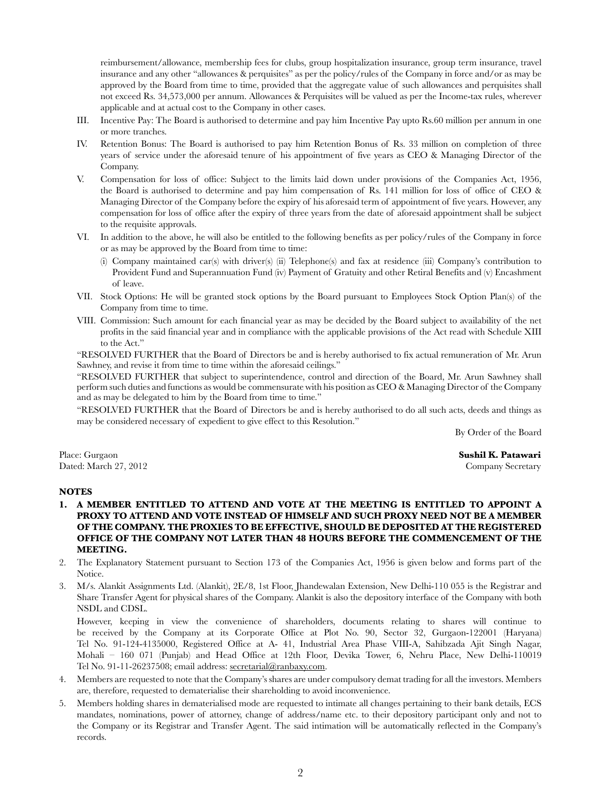reimbursement/allowance, membership fees for clubs, group hospitalization insurance, group term insurance, travel insurance and any other "allowances & perquisites" as per the policy/rules of the Company in force and/or as may be approved by the Board from time to time, provided that the aggregate value of such allowances and perquisites shall not exceed Rs. 34,573,000 per annum. Allowances & Perquisites will be valued as per the Income-tax rules, wherever applicable and at actual cost to the Company in other cases.

- III. Incentive Pay: The Board is authorised to determine and pay him Incentive Pay upto Rs.60 million per annum in one or more tranches.
- IV. Retention Bonus: The Board is authorised to pay him Retention Bonus of Rs. 33 million on completion of three years of service under the aforesaid tenure of his appointment of five years as CEO & Managing Director of the Company.
- V. Compensation for loss of office: Subject to the limits laid down under provisions of the Companies Act, 1956, the Board is authorised to determine and pay him compensation of Rs. 141 million for loss of office of CEO & Managing Director of the Company before the expiry of his aforesaid term of appointment of five years. However, any compensation for loss of office after the expiry of three years from the date of aforesaid appointment shall be subject to the requisite approvals.
- VI. In addition to the above, he will also be entitled to the following benefits as per policy/rules of the Company in force or as may be approved by the Board from time to time:
	- (i) Company maintained car(s) with driver(s) (ii) Telephone(s) and fax at residence (iii) Company's contribution to Provident Fund and Superannuation Fund (iv) Payment of Gratuity and other Retiral Benefits and (v) Encashment of leave.
- VII. Stock Options: He will be granted stock options by the Board pursuant to Employees Stock Option Plan(s) of the Company from time to time.
- VIII. Commission: Such amount for each financial year as may be decided by the Board subject to availability of the net profits in the said financial year and in compliance with the applicable provisions of the Act read with Schedule XIII to the Act."

"RESOLVED FURTHER that the Board of Directors be and is hereby authorised to fix actual remuneration of Mr. Arun Sawhney, and revise it from time to time within the aforesaid ceilings."

"RESOLVED FURTHER that subject to superintendence, control and direction of the Board, Mr. Arun Sawhney shall perform such duties and functions as would be commensurate with his position as CEO & Managing Director of the Company and as may be delegated to him by the Board from time to time."

"RESOLVED FURTHER that the Board of Directors be and is hereby authorised to do all such acts, deeds and things as may be considered necessary of expedient to give effect to this Resolution."

By Order of the Board

Place: Gurgaon **Sushil K. Patawari** Dated: March 27, 2012 Company Secretary

## **NOTES**

- **1. A MEMBER ENTITLED TO ATTEND AND VOTE AT THE MEETING IS ENTITLED TO APPOINT A PROXY TO ATTEND AND VOTE INSTEAD OF HIMSELF AND SUCH PROXY NEED NOT BE A MEMBER OF THE COMPANY. THE PROXIES TO BE EFFECTIVE, SHOULD BE DEPOSITED AT THE REGISTERED OFFICE OF THE COMPANY NOT LATER THAN 48 HOURS BEFORE THE COMMENCEMENT OF THE MEETING.**
- 2. The Explanatory Statement pursuant to Section 173 of the Companies Act, 1956 is given below and forms part of the Notice.
- 3. M/s. Alankit Assignments Ltd. (Alankit), 2E/8, 1st Floor, Jhandewalan Extension, New Delhi-110 055 is the Registrar and Share Transfer Agent for physical shares of the Company. Alankit is also the depository interface of the Company with both NSDL and CDSL.

However, keeping in view the convenience of shareholders, documents relating to shares will continue to be received by the Company at its Corporate Office at Plot No. 90, Sector 32, Gurgaon-122001 (Haryana) Tel No. 91-124-4135000, Registered Office at A- 41, Industrial Area Phase VIII-A, Sahibzada Ajit Singh Nagar, Mohali – 160 071 (Punjab) and Head Office at 12th Floor, Devika Tower, 6, Nehru Place, New Delhi-110019 Tel No. 91-11-26237508; email address: secretarial@ranbaxy.com.

- 4. Members are requested to note that the Company's shares are under compulsory demat trading for all the investors. Members are, therefore, requested to dematerialise their shareholding to avoid inconvenience.
- 5. Members holding shares in dematerialised mode are requested to intimate all changes pertaining to their bank details, ECS mandates, nominations, power of attorney, change of address/name etc. to their depository participant only and not to the Company or its Registrar and Transfer Agent. The said intimation will be automatically reflected in the Company's records.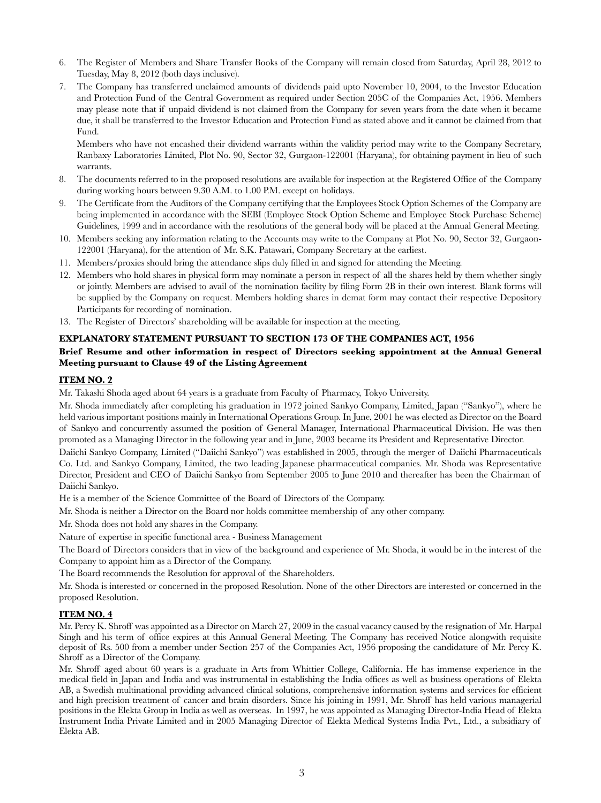- 6. The Register of Members and Share Transfer Books of the Company will remain closed from Saturday, April 28, 2012 to Tuesday, May 8, 2012 (both days inclusive).
- 7. The Company has transferred unclaimed amounts of dividends paid upto November 10, 2004, to the Investor Education and Protection Fund of the Central Government as required under Section 205C of the Companies Act, 1956. Members may please note that if unpaid dividend is not claimed from the Company for seven years from the date when it became due, it shall be transferred to the Investor Education and Protection Fund as stated above and it cannot be claimed from that Fund.

Members who have not encashed their dividend warrants within the validity period may write to the Company Secretary, Ranbaxy Laboratories Limited, Plot No. 90, Sector 32, Gurgaon-122001 (Haryana), for obtaining payment in lieu of such warrants.

- 8. The documents referred to in the proposed resolutions are available for inspection at the Registered Office of the Company during working hours between 9.30 A.M. to 1.00 P.M. except on holidays.
- 9. The Certificate from the Auditors of the Company certifying that the Employees Stock Option Schemes of the Company are being implemented in accordance with the SEBI (Employee Stock Option Scheme and Employee Stock Purchase Scheme) Guidelines, 1999 and in accordance with the resolutions of the general body will be placed at the Annual General Meeting.
- 10. Members seeking any information relating to the Accounts may write to the Company at Plot No. 90, Sector 32, Gurgaon-122001 (Haryana), for the attention of Mr. S.K. Patawari, Company Secretary at the earliest.
- 11. Members/proxies should bring the attendance slips duly filled in and signed for attending the Meeting.
- 12. Members who hold shares in physical form may nominate a person in respect of all the shares held by them whether singly or jointly. Members are advised to avail of the nomination facility by filing Form 2B in their own interest. Blank forms will be supplied by the Company on request. Members holding shares in demat form may contact their respective Depository Participants for recording of nomination.
- 13. The Register of Directors' shareholding will be available for inspection at the meeting.

### **EXPLANATORY STATEMENT PURSUANT TO SECTION 173 OF THE COMPANIES ACT, 1956**

# **Brief Resume and other information in respect of Directors seeking appointment at the Annual General Meeting pursuant to Clause 49 of the Listing Agreement**

#### **ITEM NO. 2**

Mr. Takashi Shoda aged about 64 years is a graduate from Faculty of Pharmacy, Tokyo University.

Mr. Shoda immediately after completing his graduation in 1972 joined Sankyo Company, Limited, Japan ("Sankyo"), where he held various important positions mainly in International Operations Group. In June, 2001 he was elected as Director on the Board of Sankyo and concurrently assumed the position of General Manager, International Pharmaceutical Division. He was then promoted as a Managing Director in the following year and in June, 2003 became its President and Representative Director.

Daiichi Sankyo Company, Limited ("Daiichi Sankyo") was established in 2005, through the merger of Daiichi Pharmaceuticals Co. Ltd. and Sankyo Company, Limited, the two leading Japanese pharmaceutical companies. Mr. Shoda was Representative Director, President and CEO of Daiichi Sankyo from September 2005 to June 2010 and thereafter has been the Chairman of Daiichi Sankyo.

He is a member of the Science Committee of the Board of Directors of the Company.

Mr. Shoda is neither a Director on the Board nor holds committee membership of any other company.

Mr. Shoda does not hold any shares in the Company.

Nature of expertise in specific functional area - Business Management

The Board of Directors considers that in view of the background and experience of Mr. Shoda, it would be in the interest of the Company to appoint him as a Director of the Company.

The Board recommends the Resolution for approval of the Shareholders.

Mr. Shoda is interested or concerned in the proposed Resolution. None of the other Directors are interested or concerned in the proposed Resolution.

#### **ITEM NO. 4**

Mr. Percy K. Shroff was appointed as a Director on March 27, 2009 in the casual vacancy caused by the resignation of Mr. Harpal Singh and his term of office expires at this Annual General Meeting. The Company has received Notice alongwith requisite deposit of Rs. 500 from a member under Section 257 of the Companies Act, 1956 proposing the candidature of Mr. Percy K. Shroff as a Director of the Company.

Mr. Shroff aged about 60 years is a graduate in Arts from Whittier College, California. He has immense experience in the medical field in Japan and India and was instrumental in establishing the India offices as well as business operations of Elekta AB, a Swedish multinational providing advanced clinical solutions, comprehensive information systems and services for efficient and high precision treatment of cancer and brain disorders. Since his joining in 1991, Mr. Shroff has held various managerial positions in the Elekta Group in India as well as overseas. In 1997, he was appointed as Managing Director-India Head of Elekta Instrument India Private Limited and in 2005 Managing Director of Elekta Medical Systems India Pvt., Ltd., a subsidiary of Elekta AB.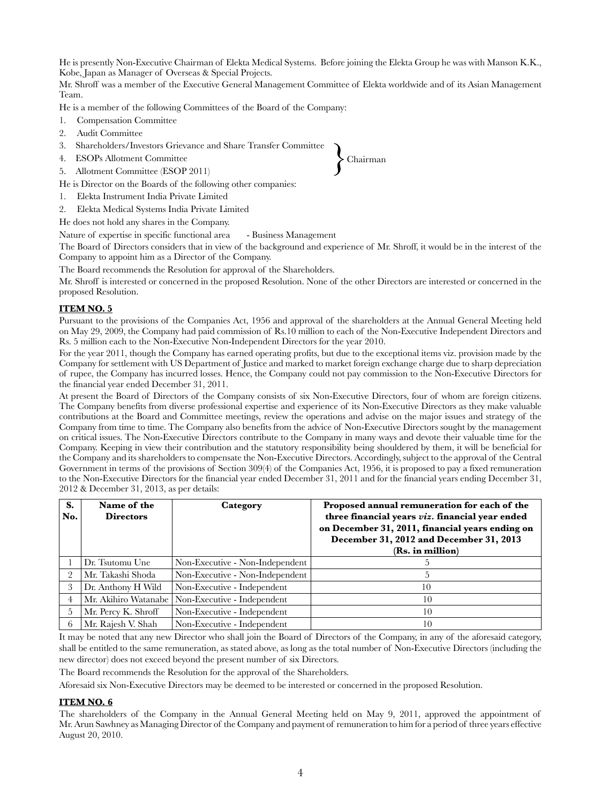He is presently Non-Executive Chairman of Elekta Medical Systems. Before joining the Elekta Group he was with Manson K.K., Kobe, Japan as Manager of Overseas & Special Projects.

Mr. Shroff was a member of the Executive General Management Committee of Elekta worldwide and of its Asian Management Team.

He is a member of the following Committees of the Board of the Company:

- 1. Compensation Committee
- 2. Audit Committee
- 3. Shareholders/Investors Grievance and Share Transfer Committee
- 4. ESOPs Allotment Committee
- 5. Allotment Committee (ESOP 2011)

He is Director on the Boards of the following other companies:

- 1. Elekta Instrument India Private Limited
- 2. Elekta Medical Systems India Private Limited

He does not hold any shares in the Company.

Nature of expertise in specific functional area - Business Management

The Board of Directors considers that in view of the background and experience of Mr. Shroff, it would be in the interest of the Company to appoint him as a Director of the Company.

The Board recommends the Resolution for approval of the Shareholders.

Mr. Shroff is interested or concerned in the proposed Resolution. None of the other Directors are interested or concerned in the proposed Resolution.

## **ITEM NO. 5**

Pursuant to the provisions of the Companies Act, 1956 and approval of the shareholders at the Annual General Meeting held on May 29, 2009, the Company had paid commission of Rs.10 million to each of the Non-Executive Independent Directors and Rs. 5 million each to the Non-Executive Non-Independent Directors for the year 2010.

For the year 2011, though the Company has earned operating profits, but due to the exceptional items viz. provision made by the Company for settlement with US Department of Justice and marked to market foreign exchange charge due to sharp depreciation of rupee, the Company has incurred losses. Hence, the Company could not pay commission to the Non-Executive Directors for the financial year ended December 31, 2011.

At present the Board of Directors of the Company consists of six Non-Executive Directors, four of whom are foreign citizens. The Company benefits from diverse professional expertise and experience of its Non-Executive Directors as they make valuable contributions at the Board and Committee meetings, review the operations and advise on the major issues and strategy of the Company from time to time. The Company also benefits from the advice of Non-Executive Directors sought by the management on critical issues. The Non-Executive Directors contribute to the Company in many ways and devote their valuable time for the Company. Keeping in view their contribution and the statutory responsibility being shouldered by them, it will be beneficial for the Company and its shareholders to compensate the Non-Executive Directors. Accordingly, subject to the approval of the Central Government in terms of the provisions of Section 309(4) of the Companies Act, 1956, it is proposed to pay a fixed remuneration to the Non-Executive Directors for the financial year ended December 31, 2011 and for the financial years ending December 31, 2012 & December 31, 2013, as per details:

| S.<br>No. | Name of the<br><b>Directors</b> | Category                        | Proposed annual remuneration for each of the<br>three financial years viz. financial year ended<br>on December 31, 2011, financial years ending on<br>December 31, 2012 and December 31, 2013<br>(Rs. in million) |
|-----------|---------------------------------|---------------------------------|-------------------------------------------------------------------------------------------------------------------------------------------------------------------------------------------------------------------|
|           | Dr. Tsutomu Une                 | Non-Executive - Non-Independent |                                                                                                                                                                                                                   |
| $\Omega$  | Mr. Takashi Shoda               | Non-Executive - Non-Independent |                                                                                                                                                                                                                   |
|           | Dr. Anthony H Wild              | Non-Executive - Independent     | 10                                                                                                                                                                                                                |
| 4         | Mr. Akihiro Watanabe            | Non-Executive - Independent     | 10                                                                                                                                                                                                                |
| 5.        | Mr. Percy K. Shroff             | Non-Executive - Independent     | 10                                                                                                                                                                                                                |
| 6         | Mr. Rajesh V. Shah              | Non-Executive - Independent     | 10                                                                                                                                                                                                                |

It may be noted that any new Director who shall join the Board of Directors of the Company, in any of the aforesaid category, shall be entitled to the same remuneration, as stated above, as long as the total number of Non-Executive Directors (including the new director) does not exceed beyond the present number of six Directors.

The Board recommends the Resolution for the approval of the Shareholders.

Aforesaid six Non-Executive Directors may be deemed to be interested or concerned in the proposed Resolution.

#### **ITEM NO. 6**

The shareholders of the Company in the Annual General Meeting held on May 9, 2011, approved the appointment of Mr. Arun Sawhney as Managing Director of the Company and payment of remuneration to him for a period of three years effective August 20, 2010.

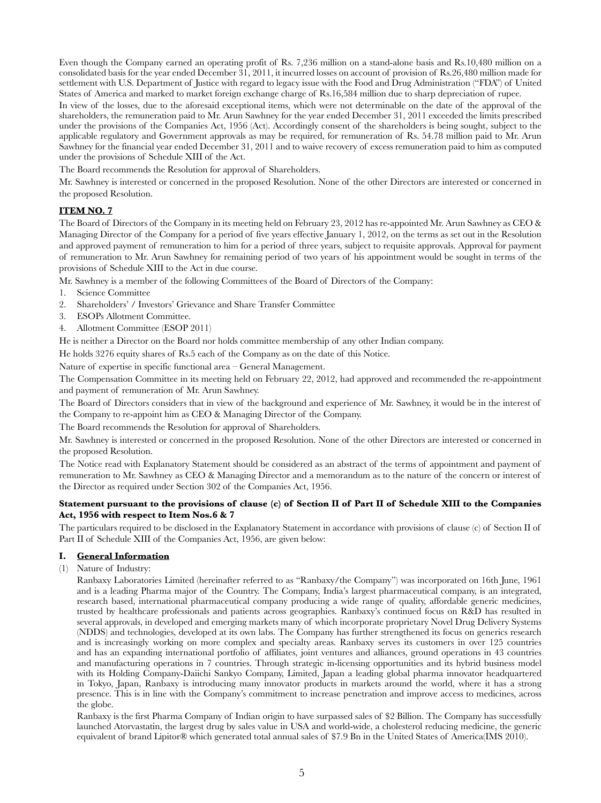Even though the Company earned an operating profit of Rs. 7,236 million on a stand-alone basis and Rs.10,480 million on a consolidated basis for the year ended December 31, 2011, it incurred losses on account of provision of Rs.26,480 million made for settlement with U.S. Department of Justice with regard to legacy issue with the Food and Drug Administration ("FDA") of United States of America and marked to market foreign exchange charge of Rs.16,584 million due to sharp depreciation of rupee.

In view of the losses, due to the aforesaid exceptional items, which were not determinable on the date of the approval of the shareholders, the remuneration paid to Mr. Arun Sawhney for the year ended December 31, 2011 exceeded the limits prescribed under the provisions of the Companies Act, 1956 (Act). Accordingly consent of the shareholders is being sought, subject to the applicable regulatory and Government approvals as may be required, for remuneration of Rs. 54.78 million paid to Mr. Arun Sawhney for the financial year ended December 31, 2011 and to waive recovery of excess remuneration paid to him as computed under the provisions of Schedule XIII of the Act.

The Board recommends the Resolution for approval of Shareholders.

Mr. Sawhney is interested or concerned in the proposed Resolution. None of the other Directors are interested or concerned in the proposed Resolution.

## **ITEM NO. 7**

The Board of Directors of the Company in its meeting held on February 23, 2012 has re-appointed Mr. Arun Sawhney as CEO & Managing Director of the Company for a period of five years effective January 1, 2012, on the terms as set out in the Resolution and approved payment of remuneration to him for a period of three years, subject to requisite approvals. Approval for payment of remuneration to Mr. Arun Sawhney for remaining period of two years of his appointment would be sought in terms of the provisions of Schedule XIII to the Act in due course.

Mr. Sawhney is a member of the following Committees of the Board of Directors of the Company:

- 1. Science Committee
- 2. Shareholders' / Investors' Grievance and Share Transfer Committee
- 3. ESOPs Allotment Committee.
- 4. Allotment Committee (ESOP 2011)

He is neither a Director on the Board nor holds committee membership of any other Indian company.

He holds 3276 equity shares of Rs.5 each of the Company as on the date of this Notice.

Nature of expertise in specific functional area – General Management.

The Compensation Committee in its meeting held on February 22, 2012, had approved and recommended the re-appointment and payment of remuneration of Mr. Arun Sawhney.

The Board of Directors considers that in view of the background and experience of Mr. Sawhney, it would be in the interest of the Company to re-appoint him as CEO & Managing Director of the Company.

The Board recommends the Resolution for approval of Shareholders.

Mr. Sawhney is interested or concerned in the proposed Resolution. None of the other Directors are interested or concerned in the proposed Resolution.

The Notice read with Explanatory Statement should be considered as an abstract of the terms of appointment and payment of remuneration to Mr. Sawhney as CEO & Managing Director and a memorandum as to the nature of the concern or interest of the Director as required under Section 302 of the Companies Act, 1956.

## **Statement pursuant to the provisions of clause (c) of Section II of Part II of Schedule XIII to the Companies Act, 1956 with respect to Item Nos.6 & 7**

The particulars required to be disclosed in the Explanatory Statement in accordance with provisions of clause (c) of Section II of Part II of Schedule XIII of the Companies Act, 1956, are given below:

## **I. General Information**

(1) Nature of Industry:

Ranbaxy Laboratories Limited (hereinafter referred to as "Ranbaxy/the Company") was incorporated on 16th June, 1961 and is a leading Pharma major of the Country. The Company, India's largest pharmaceutical company, is an integrated, research based, international pharmaceutical company producing a wide range of quality, affordable generic medicines, trusted by healthcare professionals and patients across geographies. Ranbaxy's continued focus on R&D has resulted in several approvals, in developed and emerging markets many of which incorporate proprietary Novel Drug Delivery Systems (NDDS) and technologies, developed at its own labs. The Company has further strengthened its focus on generics research and is increasingly working on more complex and specialty areas. Ranbaxy serves its customers in over 125 countries and has an expanding international portfolio of affiliates, joint ventures and alliances, ground operations in 43 countries and manufacturing operations in 7 countries. Through strategic in-licensing opportunities and its hybrid business model with its Holding Company-Daiichi Sankyo Company, Limited, Japan a leading global pharma innovator headquartered in Tokyo, Japan, Ranbaxy is introducing many innovator products in markets around the world, where it has a strong presence. This is in line with the Company's commitment to increase penetration and improve access to medicines, across the globe.

Ranbaxy is the first Pharma Company of Indian origin to have surpassed sales of \$2 Billion. The Company has successfully launched Atorvastatin, the largest drug by sales value in USA and world-wide, a cholesterol reducing medicine, the generic equivalent of brand Lipitor® which generated total annual sales of \$7.9 Bn in the United States of America(IMS 2010).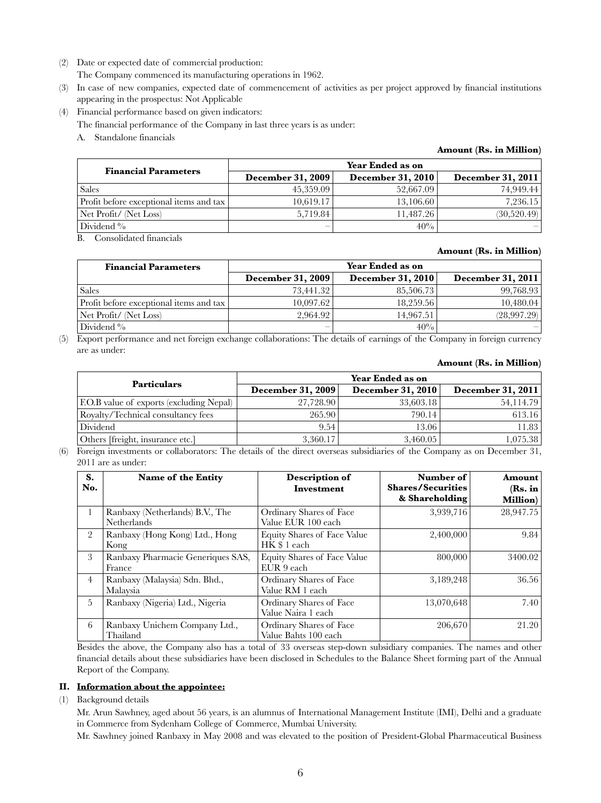(2) Date or expected date of commercial production:

The Company commenced its manufacturing operations in 1962.

- (3) In case of new companies, expected date of commencement of activities as per project approved by financial institutions appearing in the prospectus: Not Applicable
- (4) Financial performance based on given indicators:

The financial performance of the Company in last three years is as under:

A. Standalone financials

## **Amount (Rs. in Million)**

| <b>Financial Parameters</b>             | Year Ended as on         |                          |                          |  |
|-----------------------------------------|--------------------------|--------------------------|--------------------------|--|
|                                         | <b>December 31, 2009</b> | <b>December 31, 2010</b> | <b>December 31, 2011</b> |  |
| <b>Sales</b>                            | 45,359.09                | 52,667.09                | 74.949.44                |  |
| Profit before exceptional items and tax | 10,619.17                | 13,106.60                | 7,236.15                 |  |
| Net Profit/ (Net Loss)                  | 5.719.84                 | 11,487.26                | (30,520,49)              |  |
| Dividend %                              | $\overline{\phantom{a}}$ | 40%                      |                          |  |

B. Consolidated financials

## **Amount (Rs. in Million)**

| <b>Financial Parameters</b>             | Year Ended as on  |                          |                   |  |
|-----------------------------------------|-------------------|--------------------------|-------------------|--|
|                                         | December 31, 2009 | <b>December 31, 2010</b> | December 31, 2011 |  |
| <b>Sales</b>                            | 73.441.32         | 85,506.73                | 99,768.93         |  |
| Profit before exceptional items and tax | 10,097.62         | 18,259.56                | 10,480.04         |  |
| Net Profit/ (Net Loss)                  | 2.964.92          | 14,967.51                | (28,997,29)       |  |
| Dividend $\%$                           |                   | 40%                      |                   |  |

(5) Export performance and net foreign exchange collaborations: The details of earnings of the Company in foreign currency are as under:

#### **Amount (Rs. in Million)**

| <b>Particulars</b>                       | Year Ended as on         |                          |                          |  |
|------------------------------------------|--------------------------|--------------------------|--------------------------|--|
|                                          | <b>December 31, 2009</b> | <b>December 31, 2010</b> | <b>December 31, 2011</b> |  |
| F.O.B value of exports (excluding Nepal) | 27,728.90                | 33,603.18                | 54.114.79                |  |
| Royalty/Technical consultancy fees       | 265.90                   | 790.14                   | 613.16                   |  |
| Dividend                                 | 9.54                     | 13.06                    | 11.83                    |  |
| Others [freight, insurance etc.]         | 3,360.17                 | 3,460.05                 | 1,075.38                 |  |

(6) Foreign investments or collaborators: The details of the direct overseas subsidiaries of the Company as on December 31, 2011 are as under:

| S.<br>No.      | Name of the Entity                                    | Description of<br><b>Investment</b>                | Number of<br><b>Shares/Securities</b><br>& Shareholding | Amount<br>(Rs. in<br><b>Million</b> ) |
|----------------|-------------------------------------------------------|----------------------------------------------------|---------------------------------------------------------|---------------------------------------|
| $\mathbf{1}$   | Ranbaxy (Netherlands) B.V., The<br><b>Netherlands</b> | Ordinary Shares of Face<br>Value EUR 100 each      | 3,939,716                                               | 28,947.75                             |
| $\overline{2}$ | Ranbaxy (Hong Kong) Ltd., Hong<br>Kong                | <b>Equity Shares of Face Value</b><br>HK \$ 1 each | 2,400,000                                               | 9.84                                  |
| 3              | Ranbaxy Pharmacie Generiques SAS,<br>France           | <b>Equity Shares of Face Value</b><br>EUR 9 each   | 800,000                                                 | 3400.02                               |
| $\overline{4}$ | Ranbaxy (Malaysia) Sdn. Bhd.,<br>Malaysia             | Ordinary Shares of Face<br>Value RM 1 each         | 3,189,248                                               | 36.56                                 |
| 5              | Ranbaxy (Nigeria) Ltd., Nigeria                       | Ordinary Shares of Face<br>Value Naira 1 each      | 13,070,648                                              | 7.40                                  |
| 6              | Ranbaxy Unichem Company Ltd.,<br>Thailand             | Ordinary Shares of Face<br>Value Bahts 100 each    | 206,670                                                 | 21.20                                 |

Besides the above, the Company also has a total of 33 overseas step-down subsidiary companies. The names and other financial details about these subsidiaries have been disclosed in Schedules to the Balance Sheet forming part of the Annual Report of the Company.

## **II. Information about the appointee:**

(1) Background details

Mr. Arun Sawhney, aged about 56 years, is an alumnus of International Management Institute (IMI), Delhi and a graduate in Commerce from Sydenham College of Commerce, Mumbai University.

Mr. Sawhney joined Ranbaxy in May 2008 and was elevated to the position of President-Global Pharmaceutical Business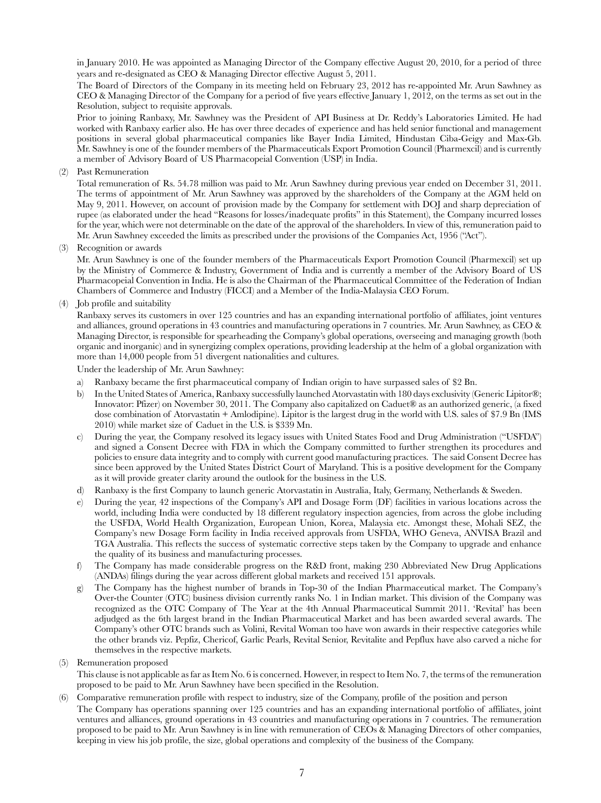in January 2010. He was appointed as Managing Director of the Company effective August 20, 2010, for a period of three years and re-designated as CEO & Managing Director effective August 5, 2011.

The Board of Directors of the Company in its meeting held on February 23, 2012 has re-appointed Mr. Arun Sawhney as CEO & Managing Director of the Company for a period of five years effective January 1, 2012, on the terms as set out in the Resolution, subject to requisite approvals.

Prior to joining Ranbaxy, Mr. Sawhney was the President of API Business at Dr. Reddy's Laboratories Limited. He had worked with Ranbaxy earlier also. He has over three decades of experience and has held senior functional and management positions in several global pharmaceutical companies like Bayer India Limited, Hindustan Ciba-Geigy and Max-Gb. Mr. Sawhney is one of the founder members of the Pharmaceuticals Export Promotion Council (Pharmexcil) and is currently a member of Advisory Board of US Pharmacopeial Convention (USP) in India.

### (2) Past Remuneration

Total remuneration of Rs. 54.78 million was paid to Mr. Arun Sawhney during previous year ended on December 31, 2011. The terms of appointment of Mr. Arun Sawhney was approved by the shareholders of the Company at the AGM held on May 9, 2011. However, on account of provision made by the Company for settlement with DOJ and sharp depreciation of rupee (as elaborated under the head "Reasons for losses/inadequate profits" in this Statement), the Company incurred losses for the year, which were not determinable on the date of the approval of the shareholders. In view of this, remuneration paid to Mr. Arun Sawhney exceeded the limits as prescribed under the provisions of the Companies Act, 1956 ("Act").

(3) Recognition or awards

Mr. Arun Sawhney is one of the founder members of the Pharmaceuticals Export Promotion Council (Pharmexcil) set up by the Ministry of Commerce & Industry, Government of India and is currently a member of the Advisory Board of US Pharmacopeial Convention in India. He is also the Chairman of the Pharmaceutical Committee of the Federation of Indian Chambers of Commerce and Industry (FICCI) and a Member of the India-Malaysia CEO Forum.

(4) Job profile and suitability

Ranbaxy serves its customers in over 125 countries and has an expanding international portfolio of affiliates, joint ventures and alliances, ground operations in 43 countries and manufacturing operations in 7 countries. Mr. Arun Sawhney, as CEO & Managing Director, is responsible for spearheading the Company's global operations, overseeing and managing growth (both organic and inorganic) and in synergizing complex operations, providing leadership at the helm of a global organization with more than 14,000 people from 51 divergent nationalities and cultures.

Under the leadership of Mr. Arun Sawhney:

- a) Ranbaxy became the first pharmaceutical company of Indian origin to have surpassed sales of \$2 Bn.
- b) In the United States of America, Ranbaxy successfully launched Atorvastatin with 180 days exclusivity (Generic Lipitor®; Innovator: Pfizer) on November 30, 2011. The Company also capitalized on Caduet® as an authorized generic, (a fixed dose combination of Atorvastatin + Amlodipine). Lipitor is the largest drug in the world with U.S. sales of \$7.9 Bn (IMS 2010) while market size of Caduet in the U.S. is \$339 Mn.
- c) During the year, the Company resolved its legacy issues with United States Food and Drug Administration ("USFDA") and signed a Consent Decree with FDA in which the Company committed to further strengthen its procedures and policies to ensure data integrity and to comply with current good manufacturing practices. The said Consent Decree has since been approved by the United States District Court of Maryland. This is a positive development for the Company as it will provide greater clarity around the outlook for the business in the U.S.
- d) Ranbaxy is the first Company to launch generic Atorvastatin in Australia, Italy, Germany, Netherlands & Sweden.
- e) During the year, 42 inspections of the Company's API and Dosage Form (DF) facilities in various locations across the world, including India were conducted by 18 different regulatory inspection agencies, from across the globe including the USFDA, World Health Organization, European Union, Korea, Malaysia etc. Amongst these, Mohali SEZ, the Company's new Dosage Form facility in India received approvals from USFDA, WHO Geneva, ANVISA Brazil and TGA Australia. This reflects the success of systematic corrective steps taken by the Company to upgrade and enhance the quality of its business and manufacturing processes.
- f) The Company has made considerable progress on the R&D front, making 230 Abbreviated New Drug Applications (ANDAs) filings during the year across different global markets and received 151 approvals.
- g) The Company has the highest number of brands in Top-30 of the Indian Pharmaceutical market. The Company's Over-the Counter (OTC) business division currently ranks No. 1 in Indian market. This division of the Company was recognized as the OTC Company of The Year at the 4th Annual Pharmaceutical Summit 2011. 'Revital' has been adjudged as the 6th largest brand in the Indian Pharmaceutical Market and has been awarded several awards. The Company's other OTC brands such as Volini, Revital Woman too have won awards in their respective categories while the other brands viz. Pepfiz, Chericof, Garlic Pearls, Revital Senior, Revitalite and Pepflux have also carved a niche for themselves in the respective markets.

#### (5) Remuneration proposed

This clause is not applicable as far as Item No. 6 is concerned. However, in respect to Item No. 7, the terms of the remuneration proposed to be paid to Mr. Arun Sawhney have been specified in the Resolution.

(6) Comparative remuneration profile with respect to industry, size of the Company, profile of the position and person The Company has operations spanning over 125 countries and has an expanding international portfolio of affiliates, joint ventures and alliances, ground operations in 43 countries and manufacturing operations in 7 countries. The remuneration proposed to be paid to Mr. Arun Sawhney is in line with remuneration of CEOs & Managing Directors of other companies, keeping in view his job profile, the size, global operations and complexity of the business of the Company.